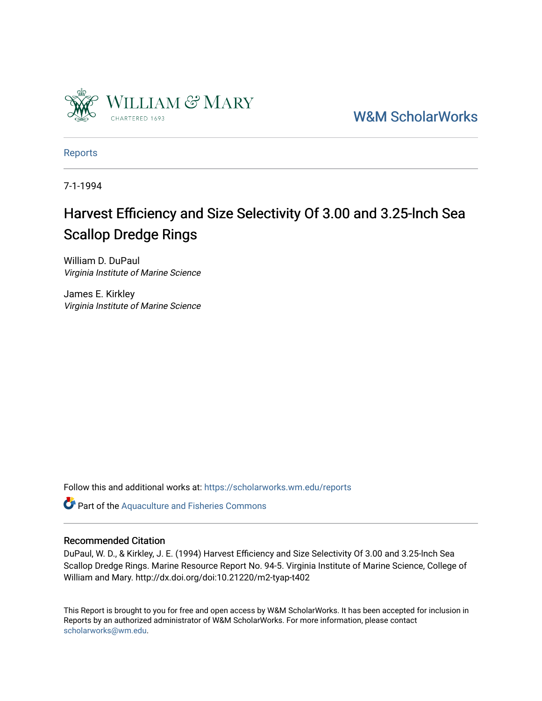

[W&M ScholarWorks](https://scholarworks.wm.edu/) 

[Reports](https://scholarworks.wm.edu/reports)

7-1-1994

# Harvest Efficiency and Size Selectivity Of 3.00 and 3.25-lnch Sea Scallop Dredge Rings

William D. DuPaul Virginia Institute of Marine Science

James E. Kirkley Virginia Institute of Marine Science

Follow this and additional works at: [https://scholarworks.wm.edu/reports](https://scholarworks.wm.edu/reports?utm_source=scholarworks.wm.edu%2Freports%2F1619&utm_medium=PDF&utm_campaign=PDFCoverPages)

Part of the [Aquaculture and Fisheries Commons](http://network.bepress.com/hgg/discipline/78?utm_source=scholarworks.wm.edu%2Freports%2F1619&utm_medium=PDF&utm_campaign=PDFCoverPages)

### Recommended Citation

DuPaul, W. D., & Kirkley, J. E. (1994) Harvest Efficiency and Size Selectivity Of 3.00 and 3.25-lnch Sea Scallop Dredge Rings. Marine Resource Report No. 94-5. Virginia Institute of Marine Science, College of William and Mary. http://dx.doi.org/doi:10.21220/m2-tyap-t402

This Report is brought to you for free and open access by W&M ScholarWorks. It has been accepted for inclusion in Reports by an authorized administrator of W&M ScholarWorks. For more information, please contact [scholarworks@wm.edu.](mailto:scholarworks@wm.edu)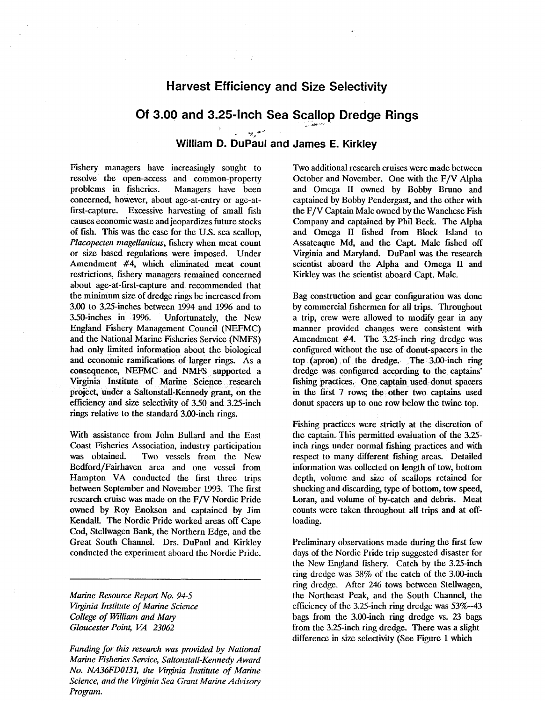## **Harvest Efficiency and Size Selectivity**

# Of 3.00 and 3.25-lnch Sea Scallop Dredge Rings

## *... Yr'* ,]11.,J **William D. DuPaul and James E. Kirkley**

Fishery managers have increasingly sought to resolve the open-access and common-property<br>problems in fisheries. Managers have been problems in fisheries. concerned, however, about age-at-entry or age-atfirst-capture. Excessive harvesting of small fish causes economic waste and jeopardizes future stocks of fish. This was the case for the U.S. sea scallop, *Placopecten magellanicus, fishery when meat count* or size based regulations were imposed. Under Amendment #4, which eliminated meat count restrictions, fishery managers remained concerned about age-at-first-capture and recommended that the minimum size of dredge rings be increased from 3.00 to 3.25-inches between 1994 and 1996 and to 3.50-inches in 1996. Unfortunately, the New England Fishery Management Council (NEFMC) and the National Marine Fisheries Service (NMFS) had only limited information about the biological and economic ramifications of larger rings. As a consequence, NEFMC and NMFS supported a Virginia Institute of Marine Science research project, under a Saltonstall-Kennedy' grant, on the efficiency and size selectivity of 3.50 and 3.25-inch rings relative to the standard 3.00-inch rings.

With assistance from John Bullard and the East Coast Fisheries Association, industry participation was obtained. Two vessels from the New Bedford/Fairhaven area and one vessel from Hampton VA conducted the first three trips between September and November 1993. The frrst research cruise was made on the F/V Nordic Pride owned by Roy Enokson and captained by **Jim**  Kendall. The Nordic Pride worked areas off Cape Cod, Stellwagen Bank, the Northern Edge, and the Great South Channel. Drs. DuPaul and Kirkley conducted the experiment aboard the Nordic Pride.

*Marine Resource Reporl No. 94-5 Virginia Institute of Marine Science College of William and Mary Gloucester Point, VA 23062* 

*Funding for this research was provided* by *National Marine Fisheries Service, Saltonstall-Kennedy Award No. NA36FD0131, the Virginia Institute of Marine Science, and the Virginia Sea Grant Marine Advisory Program.* 

Two additional research cruises were made between October and November. One with the F/V Alpha and Omega II owned by Bobby Bruno and captained by Bobby Pendergast, and the other with the F/V Captain Malc owned by the Wanchese Fish Company and captained by Phil Beck. The Alpha and Omega II fished from Block Island to Assateaque Md, and the Capt. Male fished off Virginia and Maryland. DuPaul was the research scientist aboard the Alpha and Omega II and Kirkley was the scientist aboard Capt. Male.

Bag construction and gear configuration was done by commercial fishermen for all trips. Throughout a trip, crew were allowed to modify gear in any manner provided changes were consistent with Amendment #4. The 3.25-inch ring dredge was configured without the use of donut-spacers in the top (apron) of the dredge. The 3.00-inch ring dredge was. configured according to the captains' fishing practices. One captain used donut spacers in the first 7 rows; the other two captains used donut spacers up to one row below the twine top.

Fishing practices were strictly at the discretion of the captain. This permitted evaluation of the 3.25 inch rings under normal fishing practices and with respect to many different fishing areas. Detailed information was collected on length of tow, bottom depth, volume and size of scallops retained for shucking and discarding, type of bottom, tow speed, Loran, and volume of by-catch and debris. Meat counts were taken throughout all trips and at offloading.

Preliminary observations made during the frrst few days of the Nordic Pride trip suggested disaster for the New England fishery. Catch by the 3.25-inch ring dredge was 38% of the catch of the 3.00-inch ring dredge. After 246 tows between Stellwagen, the Northeast Peak, and the South Channel, the efficiency of the 3.25-inch ring dredge was 53%--43 bags from the 3.00-inch ring dredge vs. 23 bags from the 3.25-inch ring dredge. There was a slight difference in size selectivity (See Figure 1 which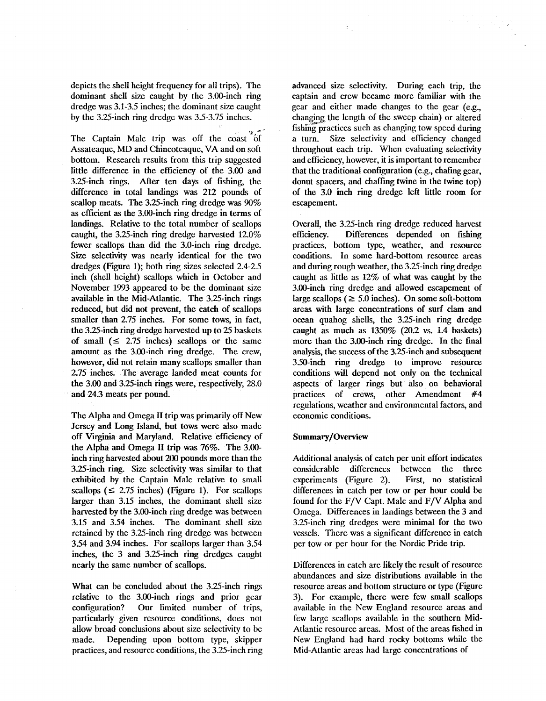depicts the shell height frequency for all trips). The dominant shell size caught by the 3.00-inch ring dredge was 3.1-3.5 inches; the dominant size caught by the 3.25-inch ring dredge was 3.5-3.75 inches.

'l,.• \_,..,

The Captain Malc trip was off the coast of Assateaque, MD and Chincoteague, VA and on soft bottom. Research results from this trip suggested little difference in the efficiency of the 3.00 and 3.25-inch rings. After ten days of fishing, the difference in total landings was 212 pounds of scallop meats. The 3.25-inch ring dredge was 90% as efficient as the 3.00-inch ring dredge in terms of landings. Relative to the total number of scallops caught, the 3.25-inch ring dredge harvested 12.0% fewer scallops than did the 3.0-inch ring dredge. Size selectivity was nearly identical for the two dredges (Figure 1); both ring sizes selected 2.4-2.5 inch (shell height) scallops which in October and November 1993 appeared to be the dominant size available in the Mid-Atlantic. The 3.25-inch rings reduced, but did not prevent, the catch of scallops smaller than 2.75 inches. For some tows, in fact, the 3.25-inch ring dredge harvested up to 25 baskets of small  $( \leq 2.75 \text{ inches})$  scallops or the same amount as the 3.00-inch ring dredge. The crew, however, did not retain many scallops smaller than 2.75 inches. The average larided meat counts for the  $3.00$  and  $3.25$ -inch rings were, respectively,  $28.0$ and 24.3 meats per pound.

The Alpha and Omega II trip was primarily off New Jersey and Long Island, but tows were also made off Virginia and Maryland. Relative efficiency of the Alpha and Omega II trip was 76%. The 3.00 inch ring harvested about 200 pounds more than the 3.25-inch ring. Size selectivity was similar to that exhibited by the Captain Male relative to small scallops ( $\leq$  2.75 inches) (Figure 1). For scallops larger than 3.15 inches, the dominant shell size harvested by the 3.00-inch ring dredge was between 3.15 and 3.54 inches. The dominant shell size retained by the 3.25-inch ring dredge was between 3.54 and 3.94 inches. For scallops larger than 3.54 inches, the 3 and 3.25-inch ring dredges caught nearly the same number of scallops.

What can be concluded about the 3.25-inch rings relative to the 3.00-inch rings and prior gear configuration? Our limited number of trips, particularly given resource conditions, does not allow broad conclusions about size selectivity to be made. Depending upon bottom type, skipper practices, and resource conditions, the 3.25-inch ring

advanced size selectivity. During each trip, the captain and crew became more familiar with the gear and either made changes to the gear  $(e.g.,)$ changing the length of the sweep chain) or altered fishing practices such as changing tow speed during a turn. Size selectivity and efficiency changed throughout each trip. When evaluating selectivity and efficiency, however, it is important to remember that the traditional configuration (e.g., chafing gear, donut spacers, and chaffing twine in the twine top) of the 3.0 inch ring dredge left little room for escapement.

Overall, the 3.25-inch ring dredge reduced harvest efficiency. Differences depended on fishing practices, bottom type, weather, and resource conditions. In some hard-bottom resource areas and during rough weather, the 3.25-inch ring dredge caught as little as 12% of what was caught by the 3.00-inch ring dredge and allowed escapement of large scallops ( $\geq 5.0$  inches). On some soft-bottom areas with large concentrations of surf clam and ocean quahog shells, the 3.25-inch ring dredge caught as much as 1350% (20.2 vs. 1.4 baskets) more than the 3.00-inch ring dredge. In the final analysis, the success of the 3.25-inch and subsequent 3.50-inch ring dredge to improve resource conditions will depend not only on the technical aspects of larger rings but also on behavioral practices of crews, other Amendment #4 regulations, weather and environmental factors, and economic conditions.

#### **Summary /Overview**

Additional analysis of catch per unit effort indicates considerable differences between the three experiments (Figure 2). First, no statistical differences in catch per tow or per hour could be found for the  $F/V$  Capt. Malc and  $F/V$  Alpha and Omega. Differences in landings between the 3 and 3.25-inch ring dredges were minimal for the two vessels. There was a significant difference in catch per tow or per hour for the Nordic Pride trip.

Differences in catch are likely the result of resource abundances and size distributions available in the resource areas and bottom structure or type (Figure 3). For example, there were few small scallops available in the New England resource areas and few large scallops available in the southern Mid-Atlantic resource areas. Most of the areas fished in New England had hard rocky bottoms while the Mid-Atlantic areas had large concentrations of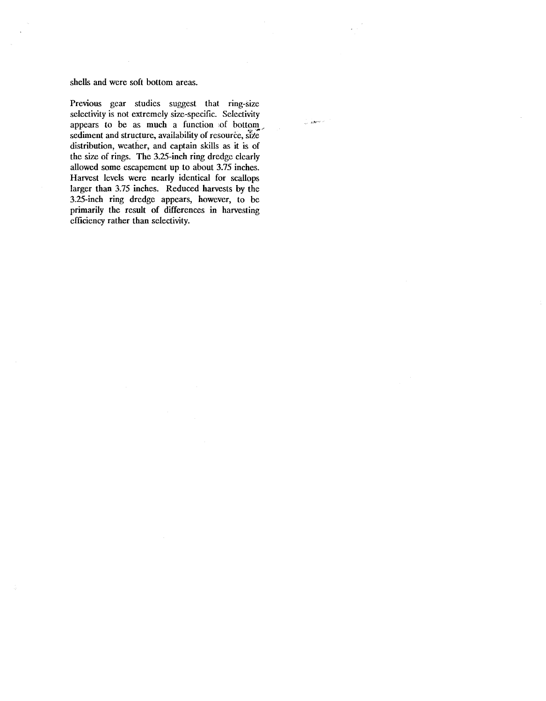#### shells and were soft bottom areas.

Previous gear studies suggest that ring-size selectivity is not extremely size-specific. Selectivity appears to be as much a function of bottom sediment and structure, availability of resource, size distribution, weather, and captain skills as it is of the size of rings. The 3.25-inch ring dredge clearly allowed some escapement up to about 3.75 inches. Harvest levels were nearly identical for scallops larger than 3.75 inches. Reduced harvests by the 3.25-inch ring dredge appears, however, to be primarily the result of differences in harvesting efficiency rather than selectivity.

.<br>Lizaren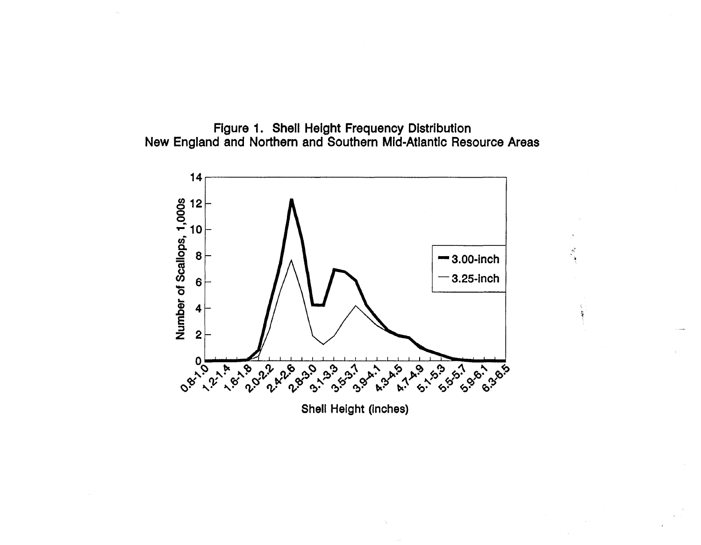



 $\frac{S^2}{2}$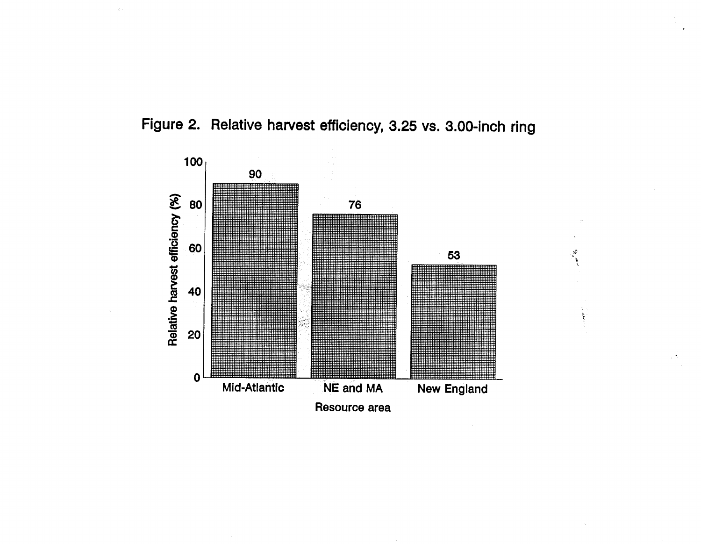



 $\mathcal{R}$ à.